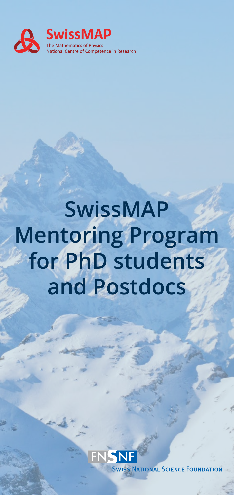

## **SwissMAP Mentoring Program for PhD students and Postdocs**



**ONAL SCI**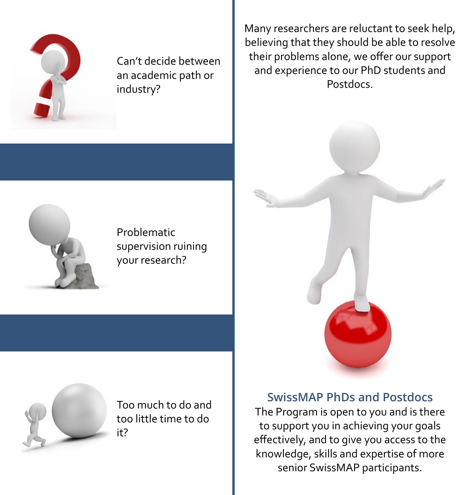

Can't decide between an academic path or industry?

Many researchers are reluctant to seek help, believing that they should be able to resolve their problems alone, we offer our support and experience to our PhD students and **Postdocs** 



Problematic supervision ruining your research?



Too much to do and too little time to do it?



**SwissMAP PhDs and Postdocs**

The Program is open to you and is there to support you in achieving your goals effectively, and to give you access to the knowledge, skills and expertise of more senior SwissMAP participants.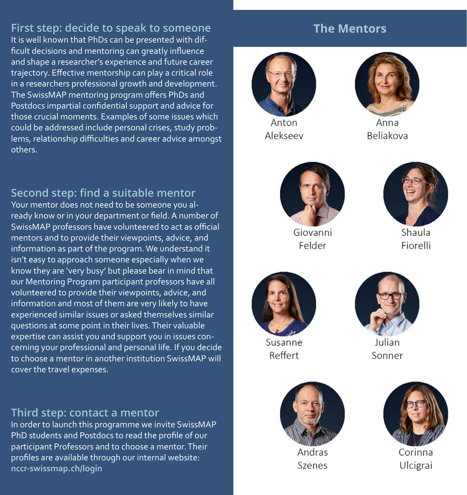**First step: decide to speak to someone** It is well known that PhDs can be presented with difficult decisions and mentoring can greatly influence and shape a researcher's experience and future career trajectory. Effective mentorship can play a critical role in a researchers professional growth and development. The SwissMAP mentoring program offers PhDs and Postdocs impartial confidential support and advice for those crucial moments. Examples of some issues which could be addressed include personal crises, study problems, relationship difficulties and career advice amongst others.

**Second step: find a suitable mentor**

Your mentor does not need to be someone you already know or in your department or field. A number of SwissMAP professors have volunteered to act as official mentors and to provide their viewpoints, advice, and information as part of the program. We understand it isn't easy to approach someone especially when we know they are 'very busy' but please bear in mind that our Mentoring Program participant professors have all volunteered to provide their viewpoints, advice, and information and most of them are very likely to have experienced similar issues or asked themselves similar questions at some point in their lives. Their valuable expertise can assist you and support you in issues concerning your professional and personal life. If you decide to choose a mentor in another institution SwissMAP will cover the travel expenses.

## **Third step: contact a mentor**

In order to launch this programme we invite SwissMAP PhD students and Postdocs to read the profile of our participant Professors and to choose a mentor. Their profiles are available through our internal website: **nccr-swissmap.ch/login**

## **The Mentors**



Anton Alekseev



Anna **Beliakova** 



Giovanni Felder



Shaula Fiorelli



Susanne Reffert



Julian Sonner



Andras Szenes



Corinna Ulcigrai